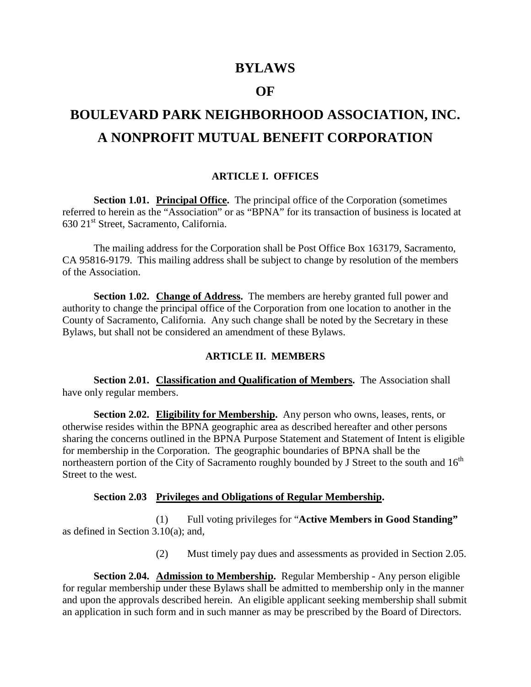# **BYLAWS**

# **OF**

# **BOULEVARD PARK NEIGHBORHOOD ASSOCIATION, INC. A NONPROFIT MUTUAL BENEFIT CORPORATION**

## **ARTICLE I. OFFICES**

**Section 1.01. Principal Office.** The principal office of the Corporation (sometimes referred to herein as the "Association" or as "BPNA" for its transaction of business is located at  $630$   $21<sup>st</sup>$  Street, Sacramento, California.

The mailing address for the Corporation shall be Post Office Box 163179, Sacramento, CA 95816-9179. This mailing address shall be subject to change by resolution of the members of the Association.

**Section 1.02. Change of Address.** The members are hereby granted full power and authority to change the principal office of the Corporation from one location to another in the County of Sacramento, California. Any such change shall be noted by the Secretary in these Bylaws, but shall not be considered an amendment of these Bylaws.

## **ARTICLE II. MEMBERS**

**Section 2.01. Classification and Qualification of Members.** The Association shall have only regular members.

**Section 2.02. Eligibility for Membership.** Any person who owns, leases, rents, or otherwise resides within the BPNA geographic area as described hereafter and other persons sharing the concerns outlined in the BPNA Purpose Statement and Statement of Intent is eligible for membership in the Corporation. The geographic boundaries of BPNA shall be the northeastern portion of the City of Sacramento roughly bounded by J Street to the south and  $16<sup>th</sup>$ Street to the west.

# **Section 2.03 Privileges and Obligations of Regular Membership.**

(1) Full voting privileges for "**Active Members in Good Standing"**  as defined in Section 3.10(a); and,

(2) Must timely pay dues and assessments as provided in Section 2.05.

**Section 2.04. Admission to Membership.** Regular Membership - Any person eligible for regular membership under these Bylaws shall be admitted to membership only in the manner and upon the approvals described herein. An eligible applicant seeking membership shall submit an application in such form and in such manner as may be prescribed by the Board of Directors.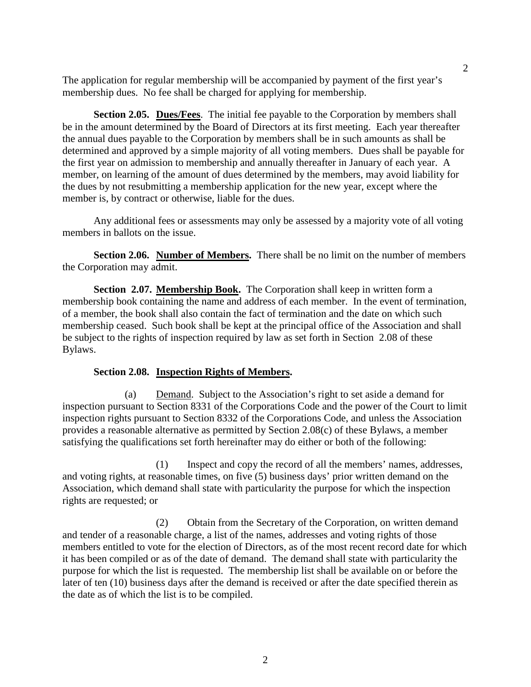The application for regular membership will be accompanied by payment of the first year's membership dues. No fee shall be charged for applying for membership.

**Section 2.05. Dues/Fees**. The initial fee payable to the Corporation by members shall be in the amount determined by the Board of Directors at its first meeting. Each year thereafter the annual dues payable to the Corporation by members shall be in such amounts as shall be determined and approved by a simple majority of all voting members. Dues shall be payable for the first year on admission to membership and annually thereafter in January of each year. A member, on learning of the amount of dues determined by the members, may avoid liability for the dues by not resubmitting a membership application for the new year, except where the member is, by contract or otherwise, liable for the dues.

Any additional fees or assessments may only be assessed by a majority vote of all voting members in ballots on the issue.

**Section 2.06.** Number of Members. There shall be no limit on the number of members the Corporation may admit.

**Section 2.07. Membership Book.** The Corporation shall keep in written form a membership book containing the name and address of each member. In the event of termination, of a member, the book shall also contain the fact of termination and the date on which such membership ceased. Such book shall be kept at the principal office of the Association and shall be subject to the rights of inspection required by law as set forth in Section 2.08 of these Bylaws.

#### **Section 2.08. Inspection Rights of Members.**

(a) Demand. Subject to the Association's right to set aside a demand for inspection pursuant to Section 8331 of the Corporations Code and the power of the Court to limit inspection rights pursuant to Section 8332 of the Corporations Code, and unless the Association provides a reasonable alternative as permitted by Section 2.08(c) of these Bylaws, a member satisfying the qualifications set forth hereinafter may do either or both of the following:

(1) Inspect and copy the record of all the members' names, addresses, and voting rights, at reasonable times, on five (5) business days' prior written demand on the Association, which demand shall state with particularity the purpose for which the inspection rights are requested; or

(2) Obtain from the Secretary of the Corporation, on written demand and tender of a reasonable charge, a list of the names, addresses and voting rights of those members entitled to vote for the election of Directors, as of the most recent record date for which it has been compiled or as of the date of demand. The demand shall state with particularity the purpose for which the list is requested. The membership list shall be available on or before the later of ten (10) business days after the demand is received or after the date specified therein as the date as of which the list is to be compiled.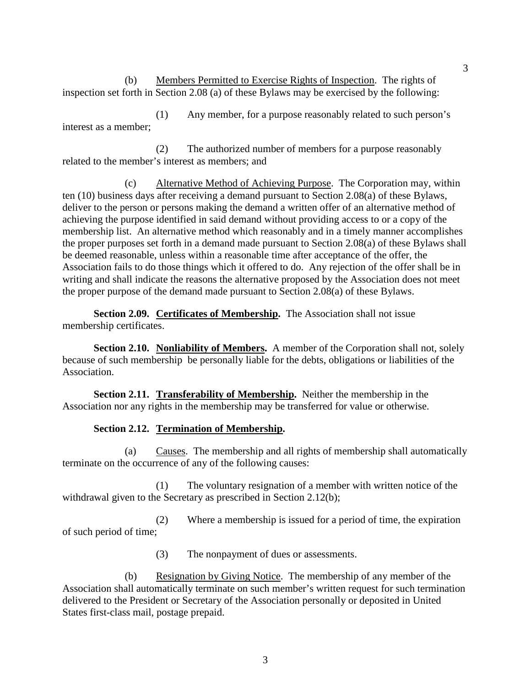(b) Members Permitted to Exercise Rights of Inspection. The rights of inspection set forth in Section 2.08 (a) of these Bylaws may be exercised by the following:

(1) Any member, for a purpose reasonably related to such person's interest as a member;

(2) The authorized number of members for a purpose reasonably related to the member's interest as members; and

(c) Alternative Method of Achieving Purpose. The Corporation may, within ten (10) business days after receiving a demand pursuant to Section 2.08(a) of these Bylaws, deliver to the person or persons making the demand a written offer of an alternative method of achieving the purpose identified in said demand without providing access to or a copy of the membership list. An alternative method which reasonably and in a timely manner accomplishes the proper purposes set forth in a demand made pursuant to Section 2.08(a) of these Bylaws shall be deemed reasonable, unless within a reasonable time after acceptance of the offer, the Association fails to do those things which it offered to do. Any rejection of the offer shall be in writing and shall indicate the reasons the alternative proposed by the Association does not meet the proper purpose of the demand made pursuant to Section 2.08(a) of these Bylaws.

**Section 2.09. Certificates of Membership.** The Association shall not issue membership certificates.

**Section 2.10.** Nonliability of Members. A member of the Corporation shall not, solely because of such membership be personally liable for the debts, obligations or liabilities of the Association.

**Section 2.11. Transferability of Membership.** Neither the membership in the Association nor any rights in the membership may be transferred for value or otherwise.

# **Section 2.12. Termination of Membership.**

(a) Causes. The membership and all rights of membership shall automatically terminate on the occurrence of any of the following causes:

(1) The voluntary resignation of a member with written notice of the withdrawal given to the Secretary as prescribed in Section 2.12(b);

(2) Where a membership is issued for a period of time, the expiration of such period of time;

(3) The nonpayment of dues or assessments.

(b) Resignation by Giving Notice. The membership of any member of the Association shall automatically terminate on such member's written request for such termination delivered to the President or Secretary of the Association personally or deposited in United States first-class mail, postage prepaid.

3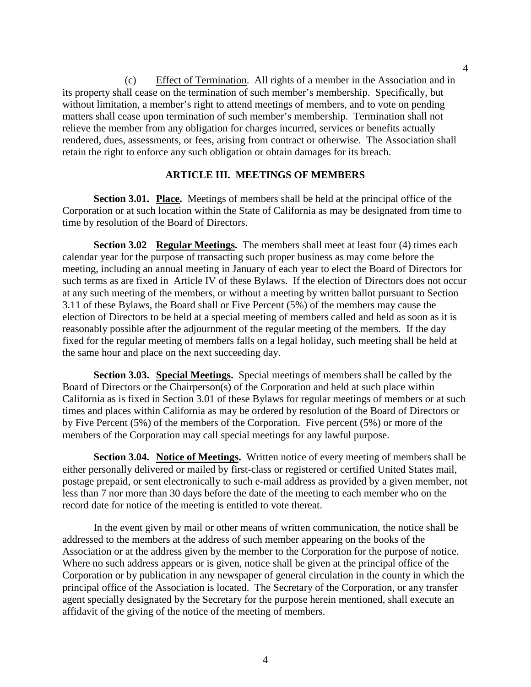(c) Effect of Termination. All rights of a member in the Association and in its property shall cease on the termination of such member's membership. Specifically, but without limitation, a member's right to attend meetings of members, and to vote on pending matters shall cease upon termination of such member's membership. Termination shall not relieve the member from any obligation for charges incurred, services or benefits actually rendered, dues, assessments, or fees, arising from contract or otherwise. The Association shall retain the right to enforce any such obligation or obtain damages for its breach.

#### **ARTICLE III. MEETINGS OF MEMBERS**

**Section 3.01. Place.** Meetings of members shall be held at the principal office of the Corporation or at such location within the State of California as may be designated from time to time by resolution of the Board of Directors.

**Section 3.02 Regular Meetings.** The members shall meet at least four (4) times each calendar year for the purpose of transacting such proper business as may come before the meeting, including an annual meeting in January of each year to elect the Board of Directors for such terms as are fixed in Article IV of these Bylaws. If the election of Directors does not occur at any such meeting of the members, or without a meeting by written ballot pursuant to Section 3.11 of these Bylaws, the Board shall or Five Percent (5%) of the members may cause the election of Directors to be held at a special meeting of members called and held as soon as it is reasonably possible after the adjournment of the regular meeting of the members. If the day fixed for the regular meeting of members falls on a legal holiday, such meeting shall be held at the same hour and place on the next succeeding day.

**Section 3.03. Special Meetings.** Special meetings of members shall be called by the Board of Directors or the Chairperson(s) of the Corporation and held at such place within California as is fixed in Section 3.01 of these Bylaws for regular meetings of members or at such times and places within California as may be ordered by resolution of the Board of Directors or by Five Percent (5%) of the members of the Corporation. Five percent (5%) or more of the members of the Corporation may call special meetings for any lawful purpose.

Section 3.04. Notice of Meetings. Written notice of every meeting of members shall be either personally delivered or mailed by first-class or registered or certified United States mail, postage prepaid, or sent electronically to such e-mail address as provided by a given member, not less than 7 nor more than 30 days before the date of the meeting to each member who on the record date for notice of the meeting is entitled to vote thereat.

In the event given by mail or other means of written communication, the notice shall be addressed to the members at the address of such member appearing on the books of the Association or at the address given by the member to the Corporation for the purpose of notice. Where no such address appears or is given, notice shall be given at the principal office of the Corporation or by publication in any newspaper of general circulation in the county in which the principal office of the Association is located. The Secretary of the Corporation, or any transfer agent specially designated by the Secretary for the purpose herein mentioned, shall execute an affidavit of the giving of the notice of the meeting of members.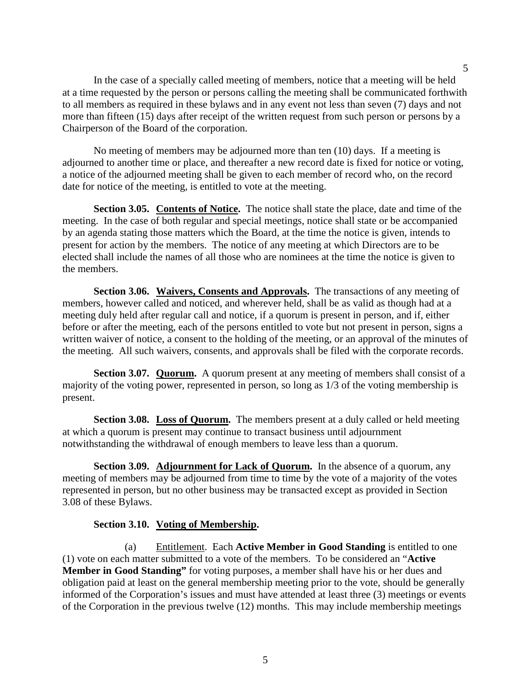In the case of a specially called meeting of members, notice that a meeting will be held at a time requested by the person or persons calling the meeting shall be communicated forthwith to all members as required in these bylaws and in any event not less than seven (7) days and not more than fifteen (15) days after receipt of the written request from such person or persons by a Chairperson of the Board of the corporation.

No meeting of members may be adjourned more than ten (10) days. If a meeting is adjourned to another time or place, and thereafter a new record date is fixed for notice or voting, a notice of the adjourned meeting shall be given to each member of record who, on the record date for notice of the meeting, is entitled to vote at the meeting.

**Section 3.05. Contents of Notice.** The notice shall state the place, date and time of the meeting. In the case of both regular and special meetings, notice shall state or be accompanied by an agenda stating those matters which the Board, at the time the notice is given, intends to present for action by the members. The notice of any meeting at which Directors are to be elected shall include the names of all those who are nominees at the time the notice is given to the members.

**Section 3.06. Waivers, Consents and Approvals.** The transactions of any meeting of members, however called and noticed, and wherever held, shall be as valid as though had at a meeting duly held after regular call and notice, if a quorum is present in person, and if, either before or after the meeting, each of the persons entitled to vote but not present in person, signs a written waiver of notice, a consent to the holding of the meeting, or an approval of the minutes of the meeting. All such waivers, consents, and approvals shall be filed with the corporate records.

**Section 3.07. Quorum.** A quorum present at any meeting of members shall consist of a majority of the voting power, represented in person, so long as 1/3 of the voting membership is present.

**Section 3.08. Loss of Quorum.** The members present at a duly called or held meeting at which a quorum is present may continue to transact business until adjournment notwithstanding the withdrawal of enough members to leave less than a quorum.

**Section 3.09.** Adjournment for Lack of Quorum. In the absence of a quorum, any meeting of members may be adjourned from time to time by the vote of a majority of the votes represented in person, but no other business may be transacted except as provided in Section 3.08 of these Bylaws.

## **Section 3.10. Voting of Membership.**

(a) Entitlement. Each **Active Member in Good Standing** is entitled to one (1) vote on each matter submitted to a vote of the members. To be considered an "**Active Member in Good Standing"** for voting purposes, a member shall have his or her dues and obligation paid at least on the general membership meeting prior to the vote, should be generally informed of the Corporation's issues and must have attended at least three (3) meetings or events of the Corporation in the previous twelve (12) months. This may include membership meetings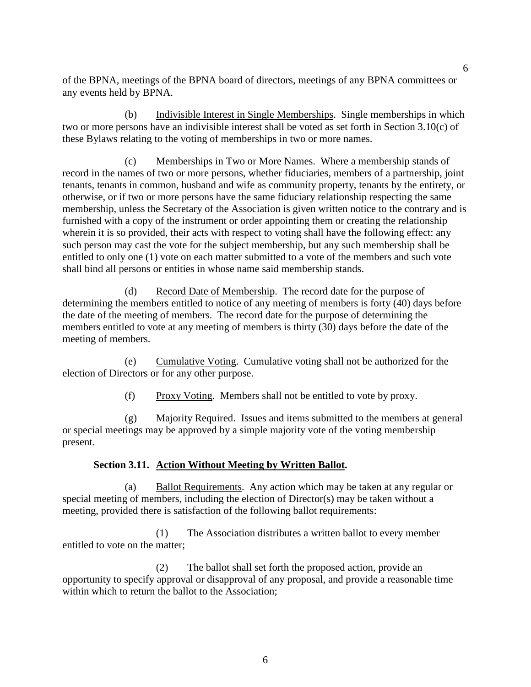of the BPNA, meetings of the BPNA board of directors, meetings of any BPNA committees or any events held by BPNA.

(b) Indivisible Interest in Single Memberships. Single memberships in which two or more persons have an indivisible interest shall be voted as set forth in Section 3.10(c) of these Bylaws relating to the voting of memberships in two or more names.

(c) Memberships in Two or More Names. Where a membership stands of record in the names of two or more persons, whether fiduciaries, members of a partnership, joint tenants, tenants in common, husband and wife as community property, tenants by the entirety, or otherwise, or if two or more persons have the same fiduciary relationship respecting the same membership, unless the Secretary of the Association is given written notice to the contrary and is furnished with a copy of the instrument or order appointing them or creating the relationship wherein it is so provided, their acts with respect to voting shall have the following effect: any such person may cast the vote for the subject membership, but any such membership shall be entitled to only one (1) vote on each matter submitted to a vote of the members and such vote shall bind all persons or entities in whose name said membership stands.

(d) Record Date of Membership. The record date for the purpose of determining the members entitled to notice of any meeting of members is forty (40) days before the date of the meeting of members. The record date for the purpose of determining the members entitled to vote at any meeting of members is thirty (30) days before the date of the meeting of members.

(e) Cumulative Voting. Cumulative voting shall not be authorized for the election of Directors or for any other purpose.

(f) Proxy Voting. Members shall not be entitled to vote by proxy.

(g) Majority Required. Issues and items submitted to the members at general or special meetings may be approved by a simple majority vote of the voting membership present.

# **Section 3.11. Action Without Meeting by Written Ballot.**

(a) Ballot Requirements. Any action which may be taken at any regular or special meeting of members, including the election of Director(s) may be taken without a meeting, provided there is satisfaction of the following ballot requirements:

(1) The Association distributes a written ballot to every member entitled to vote on the matter;

(2) The ballot shall set forth the proposed action, provide an opportunity to specify approval or disapproval of any proposal, and provide a reasonable time within which to return the ballot to the Association: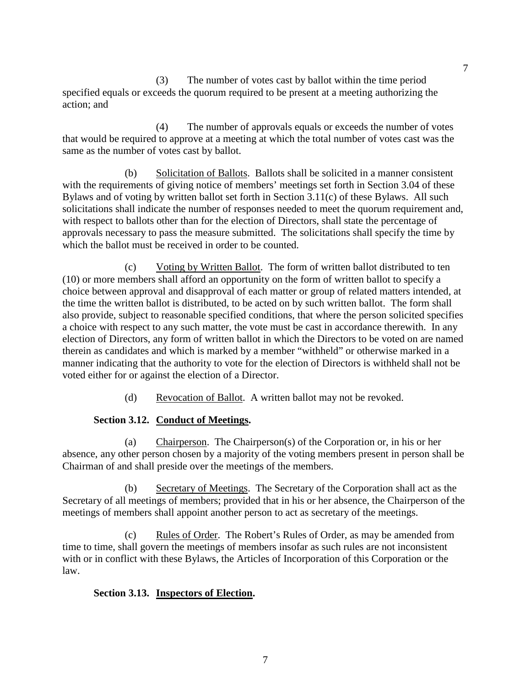(3) The number of votes cast by ballot within the time period specified equals or exceeds the quorum required to be present at a meeting authorizing the action; and

(4) The number of approvals equals or exceeds the number of votes that would be required to approve at a meeting at which the total number of votes cast was the same as the number of votes cast by ballot.

(b) Solicitation of Ballots. Ballots shall be solicited in a manner consistent with the requirements of giving notice of members' meetings set forth in Section 3.04 of these Bylaws and of voting by written ballot set forth in Section 3.11(c) of these Bylaws. All such solicitations shall indicate the number of responses needed to meet the quorum requirement and, with respect to ballots other than for the election of Directors, shall state the percentage of approvals necessary to pass the measure submitted. The solicitations shall specify the time by which the ballot must be received in order to be counted.

(c) Voting by Written Ballot. The form of written ballot distributed to ten (10) or more members shall afford an opportunity on the form of written ballot to specify a choice between approval and disapproval of each matter or group of related matters intended, at the time the written ballot is distributed, to be acted on by such written ballot. The form shall also provide, subject to reasonable specified conditions, that where the person solicited specifies a choice with respect to any such matter, the vote must be cast in accordance therewith. In any election of Directors, any form of written ballot in which the Directors to be voted on are named therein as candidates and which is marked by a member "withheld" or otherwise marked in a manner indicating that the authority to vote for the election of Directors is withheld shall not be voted either for or against the election of a Director.

(d) Revocation of Ballot. A written ballot may not be revoked.

# **Section 3.12. Conduct of Meetings.**

(a) Chairperson. The Chairperson(s) of the Corporation or, in his or her absence, any other person chosen by a majority of the voting members present in person shall be Chairman of and shall preside over the meetings of the members.

(b) Secretary of Meetings. The Secretary of the Corporation shall act as the Secretary of all meetings of members; provided that in his or her absence, the Chairperson of the meetings of members shall appoint another person to act as secretary of the meetings.

(c) Rules of Order. The Robert's Rules of Order, as may be amended from time to time, shall govern the meetings of members insofar as such rules are not inconsistent with or in conflict with these Bylaws, the Articles of Incorporation of this Corporation or the law.

# **Section 3.13. Inspectors of Election.**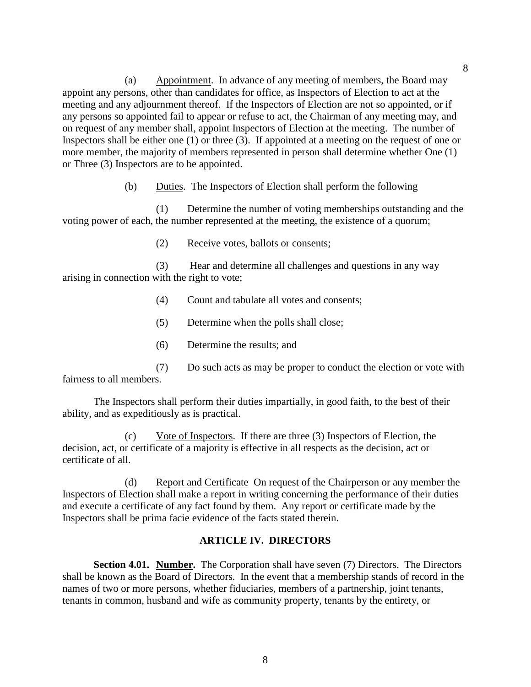(a) Appointment. In advance of any meeting of members, the Board may appoint any persons, other than candidates for office, as Inspectors of Election to act at the meeting and any adjournment thereof. If the Inspectors of Election are not so appointed, or if any persons so appointed fail to appear or refuse to act, the Chairman of any meeting may, and on request of any member shall, appoint Inspectors of Election at the meeting. The number of Inspectors shall be either one (1) or three (3). If appointed at a meeting on the request of one or more member, the majority of members represented in person shall determine whether One (1) or Three (3) Inspectors are to be appointed.

(b) Duties. The Inspectors of Election shall perform the following

(1) Determine the number of voting memberships outstanding and the voting power of each, the number represented at the meeting, the existence of a quorum;

(2) Receive votes, ballots or consents;

(3) Hear and determine all challenges and questions in any way arising in connection with the right to vote;

- (4) Count and tabulate all votes and consents;
- (5) Determine when the polls shall close;
- (6) Determine the results; and
- (7) Do such acts as may be proper to conduct the election or vote with fairness to all members.

The Inspectors shall perform their duties impartially, in good faith, to the best of their ability, and as expeditiously as is practical.

(c) Vote of Inspectors. If there are three (3) Inspectors of Election, the decision, act, or certificate of a majority is effective in all respects as the decision, act or certificate of all.

(d) Report and Certificate On request of the Chairperson or any member the Inspectors of Election shall make a report in writing concerning the performance of their duties and execute a certificate of any fact found by them. Any report or certificate made by the Inspectors shall be prima facie evidence of the facts stated therein.

## **ARTICLE IV. DIRECTORS**

**Section 4.01. Number.** The Corporation shall have seven (7) Directors. The Directors shall be known as the Board of Directors. In the event that a membership stands of record in the names of two or more persons, whether fiduciaries, members of a partnership, joint tenants, tenants in common, husband and wife as community property, tenants by the entirety, or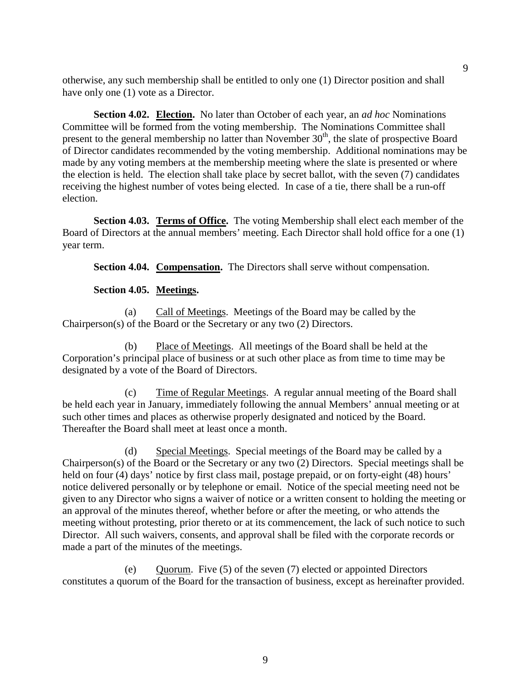otherwise, any such membership shall be entitled to only one (1) Director position and shall have only one (1) vote as a Director.

**Section 4.02. Election.** No later than October of each year, an *ad hoc* Nominations Committee will be formed from the voting membership. The Nominations Committee shall present to the general membership no latter than November  $30<sup>th</sup>$ , the slate of prospective Board of Director candidates recommended by the voting membership. Additional nominations may be made by any voting members at the membership meeting where the slate is presented or where the election is held. The election shall take place by secret ballot, with the seven (7) candidates receiving the highest number of votes being elected. In case of a tie, there shall be a run-off election.

**Section 4.03. Terms of Office.** The voting Membership shall elect each member of the Board of Directors at the annual members' meeting. Each Director shall hold office for a one (1) year term.

**Section 4.04. Compensation.** The Directors shall serve without compensation.

## **Section 4.05. Meetings.**

(a) Call of Meetings. Meetings of the Board may be called by the Chairperson(s) of the Board or the Secretary or any two (2) Directors.

(b) Place of Meetings.All meetings of the Board shall be held at the Corporation's principal place of business or at such other place as from time to time may be designated by a vote of the Board of Directors.

(c) Time of Regular Meetings. A regular annual meeting of the Board shall be held each year in January, immediately following the annual Members' annual meeting or at such other times and places as otherwise properly designated and noticed by the Board. Thereafter the Board shall meet at least once a month.

(d) Special Meetings. Special meetings of the Board may be called by a Chairperson(s) of the Board or the Secretary or any two (2) Directors. Special meetings shall be held on four (4) days' notice by first class mail, postage prepaid, or on forty-eight (48) hours' notice delivered personally or by telephone or email. Notice of the special meeting need not be given to any Director who signs a waiver of notice or a written consent to holding the meeting or an approval of the minutes thereof, whether before or after the meeting, or who attends the meeting without protesting, prior thereto or at its commencement, the lack of such notice to such Director. All such waivers, consents, and approval shall be filed with the corporate records or made a part of the minutes of the meetings.

(e) Quorum. Five (5) of the seven (7) elected or appointed Directors constitutes a quorum of the Board for the transaction of business, except as hereinafter provided.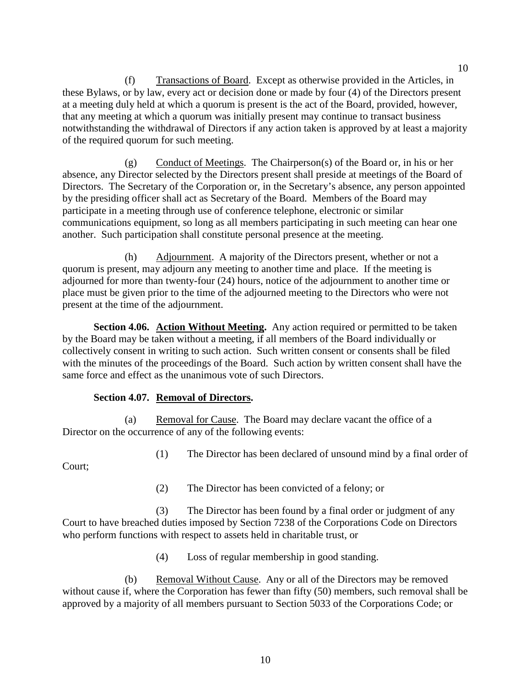(f) Transactions of Board. Except as otherwise provided in the Articles, in these Bylaws, or by law, every act or decision done or made by four (4) of the Directors present at a meeting duly held at which a quorum is present is the act of the Board, provided, however, that any meeting at which a quorum was initially present may continue to transact business notwithstanding the withdrawal of Directors if any action taken is approved by at least a majority of the required quorum for such meeting.

 $(g)$  Conduct of Meetings. The Chairperson(s) of the Board or, in his or her absence, any Director selected by the Directors present shall preside at meetings of the Board of Directors. The Secretary of the Corporation or, in the Secretary's absence, any person appointed by the presiding officer shall act as Secretary of the Board. Members of the Board may participate in a meeting through use of conference telephone, electronic or similar communications equipment, so long as all members participating in such meeting can hear one another. Such participation shall constitute personal presence at the meeting.

(h) Adjournment. A majority of the Directors present, whether or not a quorum is present, may adjourn any meeting to another time and place. If the meeting is adjourned for more than twenty-four (24) hours, notice of the adjournment to another time or place must be given prior to the time of the adjourned meeting to the Directors who were not present at the time of the adjournment.

**Section 4.06. Action Without Meeting.** Any action required or permitted to be taken by the Board may be taken without a meeting, if all members of the Board individually or collectively consent in writing to such action. Such written consent or consents shall be filed with the minutes of the proceedings of the Board. Such action by written consent shall have the same force and effect as the unanimous vote of such Directors.

# **Section 4.07. Removal of Directors.**

(a) Removal for Cause. The Board may declare vacant the office of a Director on the occurrence of any of the following events:

(1) The Director has been declared of unsound mind by a final order of

Court;

(2) The Director has been convicted of a felony; or

(3) The Director has been found by a final order or judgment of any Court to have breached duties imposed by Section 7238 of the Corporations Code on Directors who perform functions with respect to assets held in charitable trust, or

(4) Loss of regular membership in good standing.

(b) Removal Without Cause. Any or all of the Directors may be removed without cause if, where the Corporation has fewer than fifty (50) members, such removal shall be approved by a majority of all members pursuant to Section 5033 of the Corporations Code; or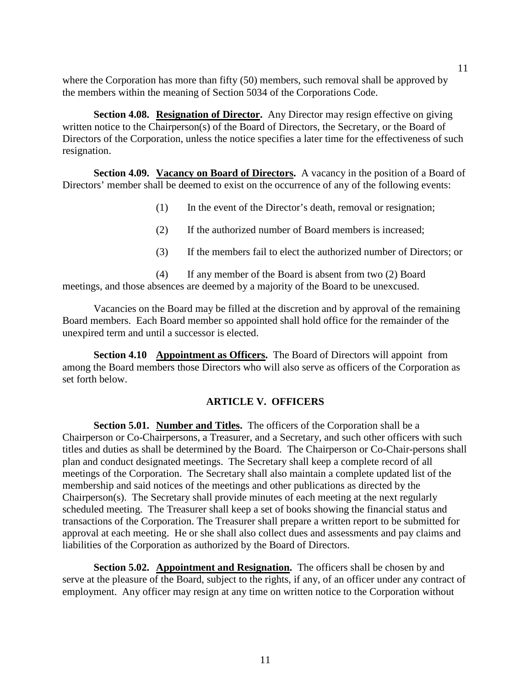where the Corporation has more than fifty (50) members, such removal shall be approved by the members within the meaning of Section 5034 of the Corporations Code.

**Section 4.08. Resignation of Director.** Any Director may resign effective on giving written notice to the Chairperson(s) of the Board of Directors, the Secretary, or the Board of Directors of the Corporation, unless the notice specifies a later time for the effectiveness of such resignation.

**Section 4.09. Vacancy on Board of Directors.** A vacancy in the position of a Board of Directors' member shall be deemed to exist on the occurrence of any of the following events:

- (1) In the event of the Director's death, removal or resignation;
- (2) If the authorized number of Board members is increased;
- (3) If the members fail to elect the authorized number of Directors; or

(4) If any member of the Board is absent from two (2) Board meetings, and those absences are deemed by a majority of the Board to be unexcused.

Vacancies on the Board may be filled at the discretion and by approval of the remaining Board members. Each Board member so appointed shall hold office for the remainder of the unexpired term and until a successor is elected.

**Section 4.10 Appointment as Officers.** The Board of Directors will appoint from among the Board members those Directors who will also serve as officers of the Corporation as set forth below.

#### **ARTICLE V. OFFICERS**

**Section 5.01. Number and Titles.** The officers of the Corporation shall be a Chairperson or Co-Chairpersons, a Treasurer, and a Secretary, and such other officers with such titles and duties as shall be determined by the Board. The Chairperson or Co-Chair-persons shall plan and conduct designated meetings. The Secretary shall keep a complete record of all meetings of the Corporation. The Secretary shall also maintain a complete updated list of the membership and said notices of the meetings and other publications as directed by the Chairperson(s). The Secretary shall provide minutes of each meeting at the next regularly scheduled meeting. The Treasurer shall keep a set of books showing the financial status and transactions of the Corporation. The Treasurer shall prepare a written report to be submitted for approval at each meeting. He or she shall also collect dues and assessments and pay claims and liabilities of the Corporation as authorized by the Board of Directors.

**Section 5.02.** Appointment and Resignation. The officers shall be chosen by and serve at the pleasure of the Board, subject to the rights, if any, of an officer under any contract of employment. Any officer may resign at any time on written notice to the Corporation without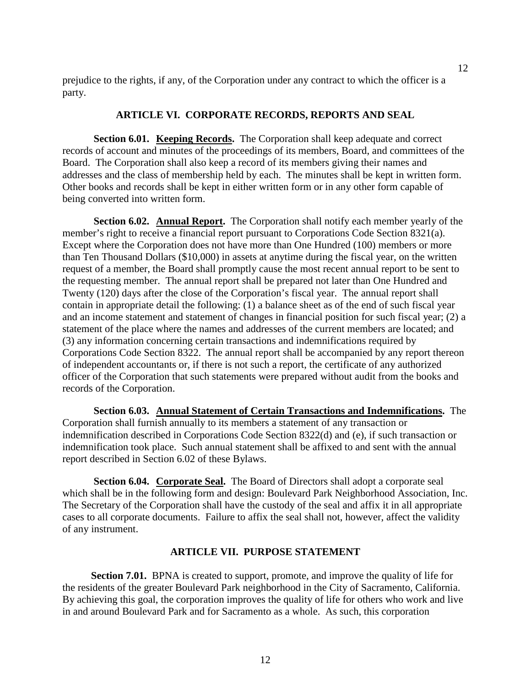prejudice to the rights, if any, of the Corporation under any contract to which the officer is a party.

## **ARTICLE VI. CORPORATE RECORDS, REPORTS AND SEAL**

**Section 6.01. Keeping Records.** The Corporation shall keep adequate and correct records of account and minutes of the proceedings of its members, Board, and committees of the Board. The Corporation shall also keep a record of its members giving their names and addresses and the class of membership held by each. The minutes shall be kept in written form. Other books and records shall be kept in either written form or in any other form capable of being converted into written form.

**Section 6.02. Annual Report.** The Corporation shall notify each member yearly of the member's right to receive a financial report pursuant to Corporations Code Section 8321(a). Except where the Corporation does not have more than One Hundred (100) members or more than Ten Thousand Dollars (\$10,000) in assets at anytime during the fiscal year, on the written request of a member, the Board shall promptly cause the most recent annual report to be sent to the requesting member. The annual report shall be prepared not later than One Hundred and Twenty (120) days after the close of the Corporation's fiscal year. The annual report shall contain in appropriate detail the following: (1) a balance sheet as of the end of such fiscal year and an income statement and statement of changes in financial position for such fiscal year; (2) a statement of the place where the names and addresses of the current members are located; and (3) any information concerning certain transactions and indemnifications required by Corporations Code Section 8322. The annual report shall be accompanied by any report thereon of independent accountants or, if there is not such a report, the certificate of any authorized officer of the Corporation that such statements were prepared without audit from the books and records of the Corporation.

**Section 6.03. Annual Statement of Certain Transactions and Indemnifications.** The Corporation shall furnish annually to its members a statement of any transaction or indemnification described in Corporations Code Section 8322(d) and (e), if such transaction or indemnification took place. Such annual statement shall be affixed to and sent with the annual report described in Section 6.02 of these Bylaws.

**Section 6.04. Corporate Seal.** The Board of Directors shall adopt a corporate seal which shall be in the following form and design: Boulevard Park Neighborhood Association, Inc. The Secretary of the Corporation shall have the custody of the seal and affix it in all appropriate cases to all corporate documents. Failure to affix the seal shall not, however, affect the validity of any instrument.

## **ARTICLE VII. PURPOSE STATEMENT**

**Section 7.01.** BPNA is created to support, promote, and improve the quality of life for the residents of the greater Boulevard Park neighborhood in the City of Sacramento, California. By achieving this goal, the corporation improves the quality of life for others who work and live in and around Boulevard Park and for Sacramento as a whole. As such, this corporation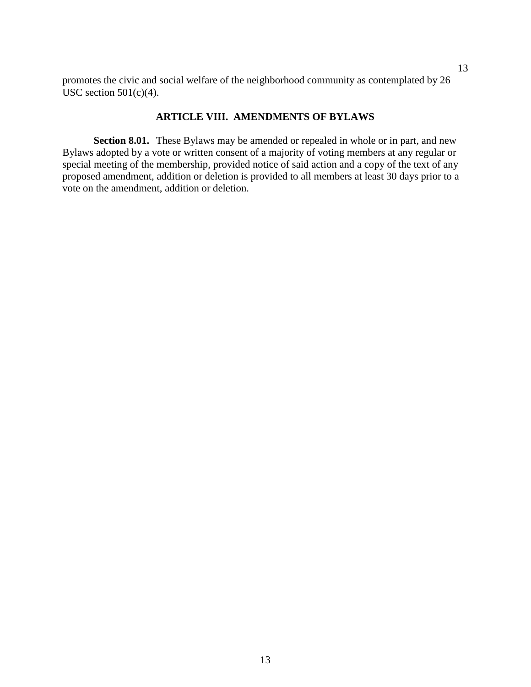promotes the civic and social welfare of the neighborhood community as contemplated by 26 USC section  $501(c)(4)$ .

## **ARTICLE VIII. AMENDMENTS OF BYLAWS**

**Section 8.01.** These Bylaws may be amended or repealed in whole or in part, and new Bylaws adopted by a vote or written consent of a majority of voting members at any regular or special meeting of the membership, provided notice of said action and a copy of the text of any proposed amendment, addition or deletion is provided to all members at least 30 days prior to a vote on the amendment, addition or deletion.